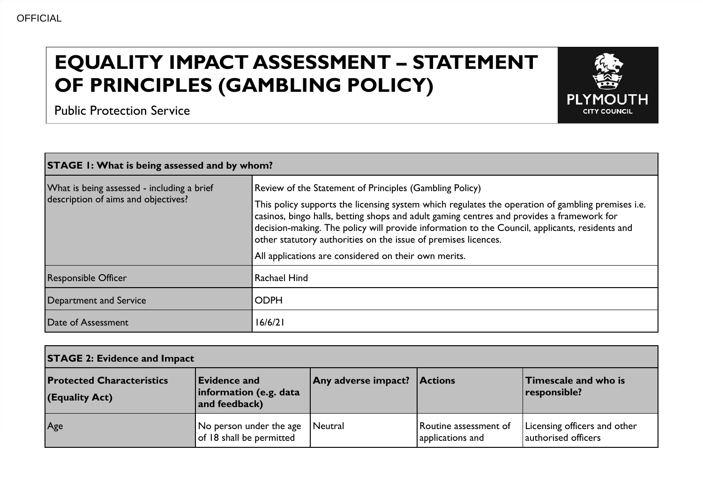## **EQUALITY IMPACT ASSESSMENT – STATEMENT OF PRINCIPLES (GAMBLING POLICY)**



Public Protection Service

| <b>STAGE 1: What is being assessed and by whom?</b>                               |                                                                                                                                                                                                                                                                                                                                                                                                                                                                                       |  |  |
|-----------------------------------------------------------------------------------|---------------------------------------------------------------------------------------------------------------------------------------------------------------------------------------------------------------------------------------------------------------------------------------------------------------------------------------------------------------------------------------------------------------------------------------------------------------------------------------|--|--|
| What is being assessed - including a brief<br>description of aims and objectives? | Review of the Statement of Principles (Gambling Policy)<br>This policy supports the licensing system which regulates the operation of gambling premises i.e.<br>casinos, bingo halls, betting shops and adult gaming centres and provides a framework for<br>decision-making. The policy will provide information to the Council, applicants, residents and<br>other statutory authorities on the issue of premises licences.<br>All applications are considered on their own merits. |  |  |
| <b>Responsible Officer</b>                                                        | <b>Rachael Hind</b>                                                                                                                                                                                                                                                                                                                                                                                                                                                                   |  |  |
| Department and Service                                                            | <b>ODPH</b>                                                                                                                                                                                                                                                                                                                                                                                                                                                                           |  |  |
| Date of Assessment                                                                | 16/6/21                                                                                                                                                                                                                                                                                                                                                                                                                                                                               |  |  |

| <b>STAGE 2: Evidence and Impact</b>                |                                                                |                             |                                           |                                                     |
|----------------------------------------------------|----------------------------------------------------------------|-----------------------------|-------------------------------------------|-----------------------------------------------------|
| <b>Protected Characteristics</b><br>(Equality Act) | <b>Evidence and</b><br>information (e.g. data<br>and feedback) | Any adverse impact? Actions |                                           | Timescale and who is<br>responsible?                |
| Age                                                | No person under the age<br>of 18 shall be permitted            | Neutral                     | Routine assessment of<br>applications and | Licensing officers and other<br>authorised officers |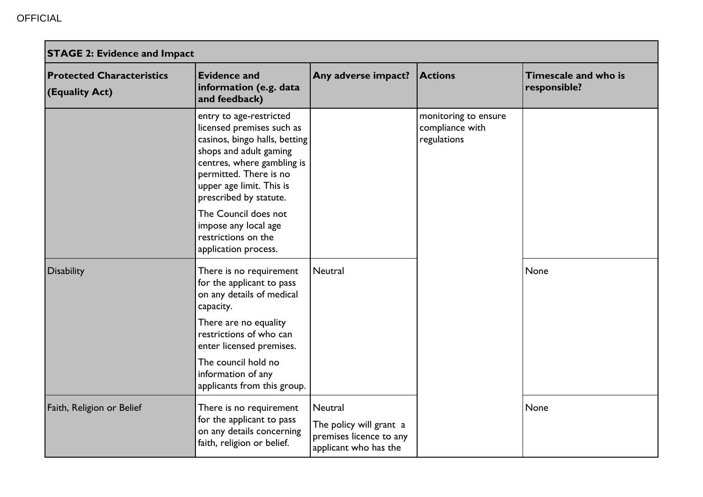| <b>STAGE 2: Evidence and Impact</b>                |                                                                                                                                                                                                                               |                                                                                        |                                                        |                                      |
|----------------------------------------------------|-------------------------------------------------------------------------------------------------------------------------------------------------------------------------------------------------------------------------------|----------------------------------------------------------------------------------------|--------------------------------------------------------|--------------------------------------|
| <b>Protected Characteristics</b><br>(Equality Act) | <b>Evidence and</b><br>information (e.g. data<br>and feedback)                                                                                                                                                                | Any adverse impact?                                                                    | <b>Actions</b>                                         | Timescale and who is<br>responsible? |
|                                                    | entry to age-restricted<br>licensed premises such as<br>casinos, bingo halls, betting<br>shops and adult gaming<br>centres, where gambling is<br>permitted. There is no<br>upper age limit. This is<br>prescribed by statute. |                                                                                        | monitoring to ensure<br>compliance with<br>regulations |                                      |
|                                                    | The Council does not<br>impose any local age<br>restrictions on the<br>application process.                                                                                                                                   |                                                                                        |                                                        |                                      |
| <b>Disability</b>                                  | There is no requirement<br>for the applicant to pass<br>on any details of medical<br>capacity.                                                                                                                                | Neutral                                                                                |                                                        | None                                 |
|                                                    | There are no equality<br>restrictions of who can<br>enter licensed premises.                                                                                                                                                  |                                                                                        |                                                        |                                      |
|                                                    | The council hold no<br>information of any<br>applicants from this group.                                                                                                                                                      |                                                                                        |                                                        |                                      |
| Faith, Religion or Belief                          | There is no requirement<br>for the applicant to pass<br>on any details concerning<br>faith, religion or belief.                                                                                                               | Neutral<br>The policy will grant a<br>premises licence to any<br>applicant who has the |                                                        | None                                 |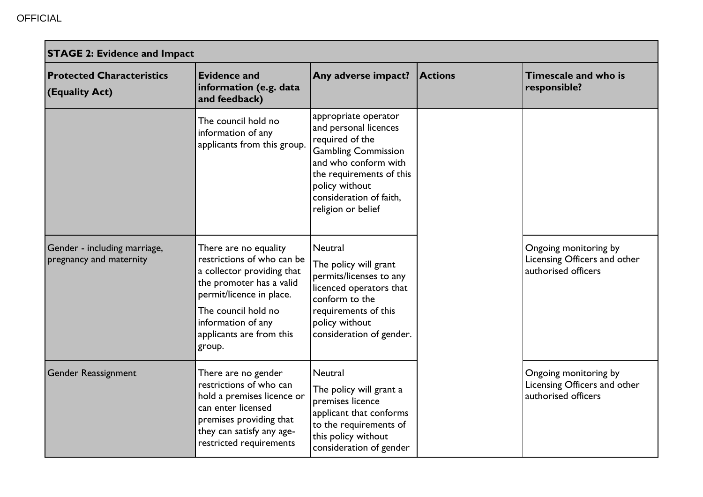| <b>STAGE 2: Evidence and Impact</b>                     |                                                                                                                                                                                                                              |                                                                                                                                                                                                                       |                |                                                                              |
|---------------------------------------------------------|------------------------------------------------------------------------------------------------------------------------------------------------------------------------------------------------------------------------------|-----------------------------------------------------------------------------------------------------------------------------------------------------------------------------------------------------------------------|----------------|------------------------------------------------------------------------------|
| <b>Protected Characteristics</b><br>(Equality Act)      | <b>Evidence and</b><br>information (e.g. data<br>and feedback)                                                                                                                                                               | Any adverse impact?                                                                                                                                                                                                   | <b>Actions</b> | Timescale and who is<br>responsible?                                         |
|                                                         | The council hold no<br>information of any<br>applicants from this group.                                                                                                                                                     | appropriate operator<br>and personal licences<br>required of the<br><b>Gambling Commission</b><br>and who conform with<br>the requirements of this<br>policy without<br>consideration of faith,<br>religion or belief |                |                                                                              |
| Gender - including marriage,<br>pregnancy and maternity | There are no equality<br>restrictions of who can be<br>a collector providing that<br>the promoter has a valid<br>permit/licence in place.<br>The council hold no<br>information of any<br>applicants are from this<br>group. | Neutral<br>The policy will grant<br>permits/licenses to any<br>licenced operators that<br>conform to the<br>requirements of this<br>policy without<br>consideration of gender.                                        |                | Ongoing monitoring by<br>Licensing Officers and other<br>authorised officers |
| <b>Gender Reassignment</b>                              | There are no gender<br>restrictions of who can<br>hold a premises licence or<br>can enter licensed<br>premises providing that<br>they can satisfy any age-<br>restricted requirements                                        | Neutral<br>The policy will grant a<br>premises licence<br>applicant that conforms<br>to the requirements of<br>this policy without<br>consideration of gender                                                         |                | Ongoing monitoring by<br>Licensing Officers and other<br>authorised officers |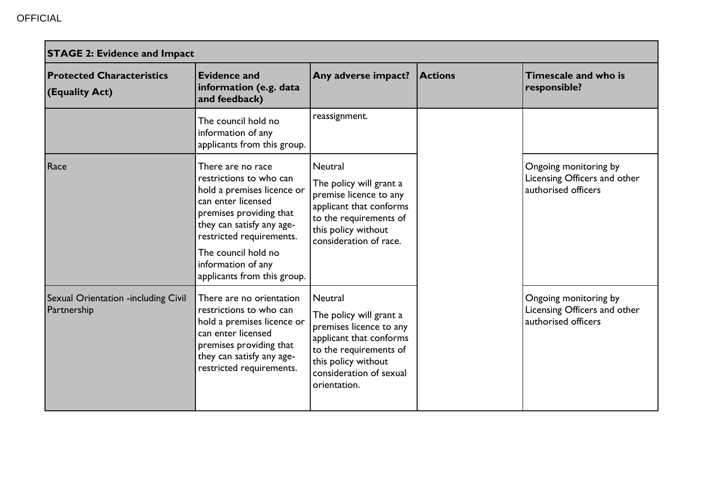| <b>STAGE 2: Evidence and Impact</b>                |                                                                                                                                                                                                                                                                  |                                                                                                                                                                                      |                |                                                                              |
|----------------------------------------------------|------------------------------------------------------------------------------------------------------------------------------------------------------------------------------------------------------------------------------------------------------------------|--------------------------------------------------------------------------------------------------------------------------------------------------------------------------------------|----------------|------------------------------------------------------------------------------|
| <b>Protected Characteristics</b><br>(Equality Act) | <b>Evidence and</b><br>information (e.g. data<br>and feedback)                                                                                                                                                                                                   | Any adverse impact?                                                                                                                                                                  | <b>Actions</b> | Timescale and who is<br>responsible?                                         |
|                                                    | The council hold no<br>information of any<br>applicants from this group.                                                                                                                                                                                         | reassignment.                                                                                                                                                                        |                |                                                                              |
| Race                                               | There are no race<br>restrictions to who can<br>hold a premises licence or<br>can enter licensed<br>premises providing that<br>they can satisfy any age-<br>restricted requirements.<br>The council hold no<br>information of any<br>applicants from this group. | Neutral<br>The policy will grant a<br>premise licence to any<br>applicant that conforms<br>to the requirements of<br>this policy without<br>consideration of race.                   |                | Ongoing monitoring by<br>Licensing Officers and other<br>authorised officers |
| Sexual Orientation -including Civil<br>Partnership | There are no orientation<br>restrictions to who can<br>hold a premises licence or<br>can enter licensed<br>premises providing that<br>they can satisfy any age-<br>restricted requirements.                                                                      | Neutral<br>The policy will grant a<br>premises licence to any<br>applicant that conforms<br>to the requirements of<br>this policy without<br>consideration of sexual<br>orientation. |                | Ongoing monitoring by<br>Licensing Officers and other<br>authorised officers |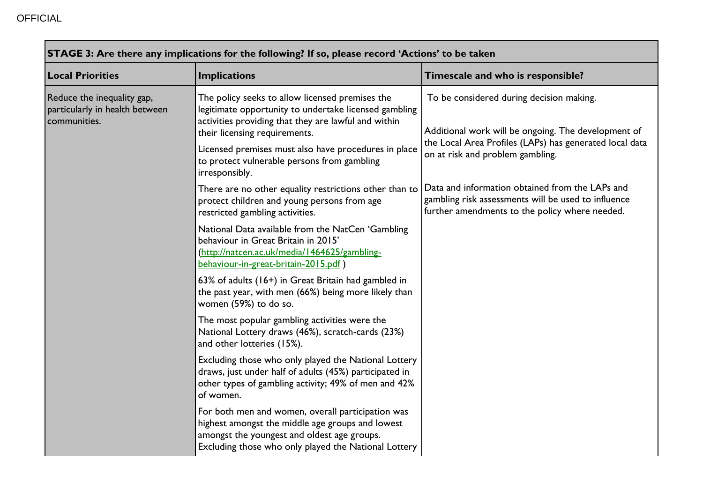г

| STAGE 3: Are there any implications for the following? If so, please record 'Actions' to be taken |                                                                                                                                                                                                              |                                                                                                                                                          |  |
|---------------------------------------------------------------------------------------------------|--------------------------------------------------------------------------------------------------------------------------------------------------------------------------------------------------------------|----------------------------------------------------------------------------------------------------------------------------------------------------------|--|
| <b>Local Priorities</b><br>Implications                                                           |                                                                                                                                                                                                              | Timescale and who is responsible?                                                                                                                        |  |
| Reduce the inequality gap,<br>particularly in health between<br>communities.                      | The policy seeks to allow licensed premises the<br>legitimate opportunity to undertake licensed gambling<br>activities providing that they are lawful and within<br>their licensing requirements.            | To be considered during decision making.<br>Additional work will be ongoing. The development of                                                          |  |
|                                                                                                   | Licensed premises must also have procedures in place<br>to protect vulnerable persons from gambling<br>irresponsibly.                                                                                        | the Local Area Profiles (LAPs) has generated local data<br>on at risk and problem gambling.                                                              |  |
|                                                                                                   | There are no other equality restrictions other than to<br>protect children and young persons from age<br>restricted gambling activities.                                                                     | Data and information obtained from the LAPs and<br>gambling risk assessments will be used to influence<br>further amendments to the policy where needed. |  |
|                                                                                                   | National Data available from the NatCen 'Gambling<br>behaviour in Great Britain in 2015'<br>(http://natcen.ac.uk/media/1464625/gambling-<br>behaviour-in-great-britain-2015.pdf)                             |                                                                                                                                                          |  |
|                                                                                                   | 63% of adults (16+) in Great Britain had gambled in<br>the past year, with men (66%) being more likely than<br>women (59%) to do so.                                                                         |                                                                                                                                                          |  |
|                                                                                                   | The most popular gambling activities were the<br>National Lottery draws (46%), scratch-cards (23%)<br>and other lotteries (15%).                                                                             |                                                                                                                                                          |  |
|                                                                                                   | Excluding those who only played the National Lottery<br>draws, just under half of adults (45%) participated in<br>other types of gambling activity; 49% of men and 42%<br>of women.                          |                                                                                                                                                          |  |
|                                                                                                   | For both men and women, overall participation was<br>highest amongst the middle age groups and lowest<br>amongst the youngest and oldest age groups.<br>Excluding those who only played the National Lottery |                                                                                                                                                          |  |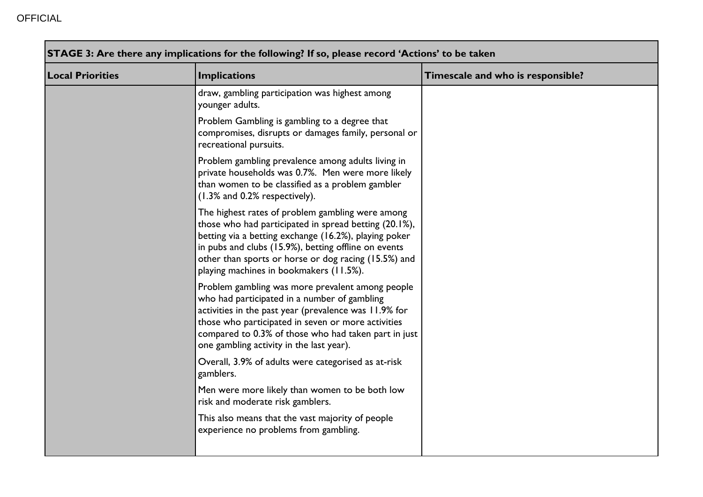| <b>Local Priorities</b> | <b>Implications</b>                                                                                                                                                                                                                                                                                                           | Timescale and who is responsible? |
|-------------------------|-------------------------------------------------------------------------------------------------------------------------------------------------------------------------------------------------------------------------------------------------------------------------------------------------------------------------------|-----------------------------------|
|                         | draw, gambling participation was highest among<br>younger adults.                                                                                                                                                                                                                                                             |                                   |
|                         | Problem Gambling is gambling to a degree that<br>compromises, disrupts or damages family, personal or<br>recreational pursuits.                                                                                                                                                                                               |                                   |
|                         | Problem gambling prevalence among adults living in<br>private households was 0.7%. Men were more likely<br>than women to be classified as a problem gambler<br>(1.3% and 0.2% respectively).                                                                                                                                  |                                   |
|                         | The highest rates of problem gambling were among<br>those who had participated in spread betting (20.1%),<br>betting via a betting exchange (16.2%), playing poker<br>in pubs and clubs (15.9%), betting offline on events<br>other than sports or horse or dog racing (15.5%) and<br>playing machines in bookmakers (11.5%). |                                   |
|                         | Problem gambling was more prevalent among people<br>who had participated in a number of gambling<br>activities in the past year (prevalence was 11.9% for<br>those who participated in seven or more activities<br>compared to 0.3% of those who had taken part in just<br>one gambling activity in the last year).           |                                   |
|                         | Overall, 3.9% of adults were categorised as at-risk<br>gamblers.                                                                                                                                                                                                                                                              |                                   |
|                         | Men were more likely than women to be both low<br>risk and moderate risk gamblers.                                                                                                                                                                                                                                            |                                   |
|                         | This also means that the vast majority of people<br>experience no problems from gambling.                                                                                                                                                                                                                                     |                                   |